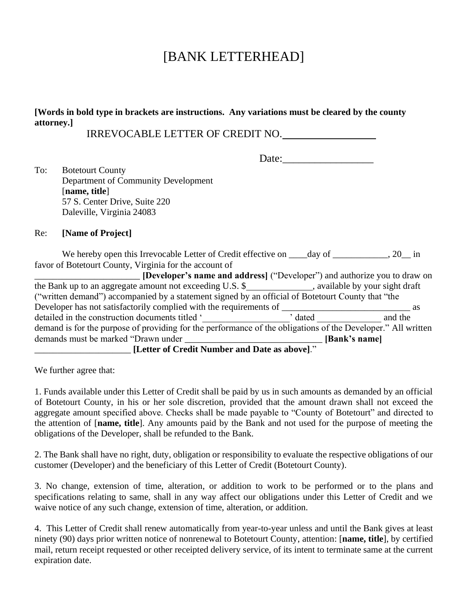# [BANK LETTERHEAD]

### **[Words in bold type in brackets are instructions. Any variations must be cleared by the county attorney.]**

IRREVOCABLE LETTER OF CREDIT NO.

Date:

To: Botetourt County Department of Community Development [**name, title**] 57 S. Center Drive, Suite 220 Daleville, Virginia 24083

#### Re: **[Name of Project]**

We hereby open this Irrevocable Letter of Credit effective on  $\_\_\_\_\_\_\$  day of  $\_\_\_\_\_\_\_\_\_$ , 20 $\_\_\_\_\$  in favor of Botetourt County, Virginia for the account of

| <b>[Developer's name and address]</b> ("Developer") and authorize you to draw on                             |               |         |
|--------------------------------------------------------------------------------------------------------------|---------------|---------|
| the Bank up to an aggregate amount not exceeding U.S. \$_______________, available by your sight draft       |               |         |
| ("written demand") accompanied by a statement signed by an official of Botetourt County that "the            |               |         |
| Developer has not satisfactorily complied with the requirements of                                           |               | as      |
| detailed in the construction documents titled '                                                              | dated         | and the |
| demand is for the purpose of providing for the performance of the obligations of the Developer." All written |               |         |
| demands must be marked "Drawn under                                                                          | [Bank's name] |         |
| [Letter of Credit Number and Date as above]."                                                                |               |         |

We further agree that:

1. Funds available under this Letter of Credit shall be paid by us in such amounts as demanded by an official of Botetourt County, in his or her sole discretion, provided that the amount drawn shall not exceed the aggregate amount specified above. Checks shall be made payable to "County of Botetourt" and directed to the attention of [**name, title**]. Any amounts paid by the Bank and not used for the purpose of meeting the obligations of the Developer, shall be refunded to the Bank.

2. The Bank shall have no right, duty, obligation or responsibility to evaluate the respective obligations of our customer (Developer) and the beneficiary of this Letter of Credit (Botetourt County).

3. No change, extension of time, alteration, or addition to work to be performed or to the plans and specifications relating to same, shall in any way affect our obligations under this Letter of Credit and we waive notice of any such change, extension of time, alteration, or addition.

4. This Letter of Credit shall renew automatically from year-to-year unless and until the Bank gives at least ninety (90) days prior written notice of nonrenewal to Botetourt County, attention: [**name, title**], by certified mail, return receipt requested or other receipted delivery service, of its intent to terminate same at the current expiration date.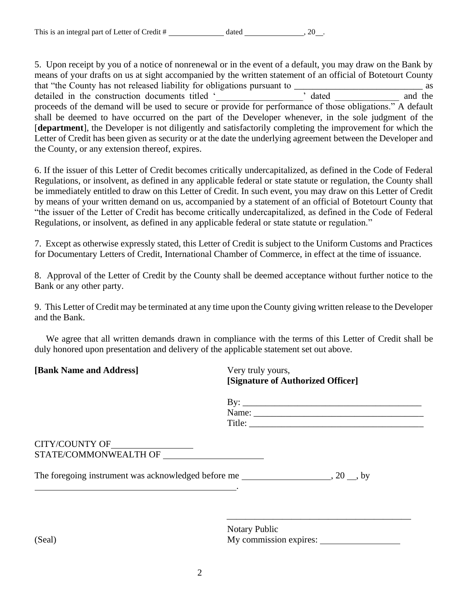5. Upon receipt by you of a notice of nonrenewal or in the event of a default, you may draw on the Bank by means of your drafts on us at sight accompanied by the written statement of an official of Botetourt County that "the County has not released liability for obligations pursuant to \_\_\_\_\_\_\_\_\_\_\_\_\_\_\_\_\_\_\_\_\_\_\_\_\_\_\_\_ as detailed in the construction documents titled '\_\_\_\_\_\_\_\_\_\_\_\_\_\_\_\_\_\_\_\_\_\_\_\_\_\_\_\_\_\_\_\_\_ proceeds of the demand will be used to secure or provide for performance of those obligations." A default shall be deemed to have occurred on the part of the Developer whenever, in the sole judgment of the [**department**], the Developer is not diligently and satisfactorily completing the improvement for which the Letter of Credit has been given as security or at the date the underlying agreement between the Developer and the County, or any extension thereof, expires.

6. If the issuer of this Letter of Credit becomes critically undercapitalized, as defined in the Code of Federal Regulations, or insolvent, as defined in any applicable federal or state statute or regulation, the County shall be immediately entitled to draw on this Letter of Credit. In such event, you may draw on this Letter of Credit by means of your written demand on us, accompanied by a statement of an official of Botetourt County that "the issuer of the Letter of Credit has become critically undercapitalized, as defined in the Code of Federal Regulations, or insolvent, as defined in any applicable federal or state statute or regulation."

7. Except as otherwise expressly stated, this Letter of Credit is subject to the Uniform Customs and Practices for Documentary Letters of Credit, International Chamber of Commerce, in effect at the time of issuance.

8. Approval of the Letter of Credit by the County shall be deemed acceptance without further notice to the Bank or any other party.

9. This Letter of Credit may be terminated at any time upon the County giving written release to the Developer and the Bank.

 We agree that all written demands drawn in compliance with the terms of this Letter of Credit shall be duly honored upon presentation and delivery of the applicable statement set out above.

**[Bank Name and Address]** Very truly yours,

**[Signature of Authorized Officer]**

| By:    |  |
|--------|--|
| Name:  |  |
| Title: |  |

⎯⎯⎯⎯⎯⎯⎯⎯⎯⎯⎯⎯⎯⎯⎯⎯⎯⎯⎯⎯

#### CITY/COUNTY OF\_ STATE/COMMONWEALTH OF

.

The foregoing instrument was acknowledged before me , 20 , by

Notary Public (Seal) My commission expires: